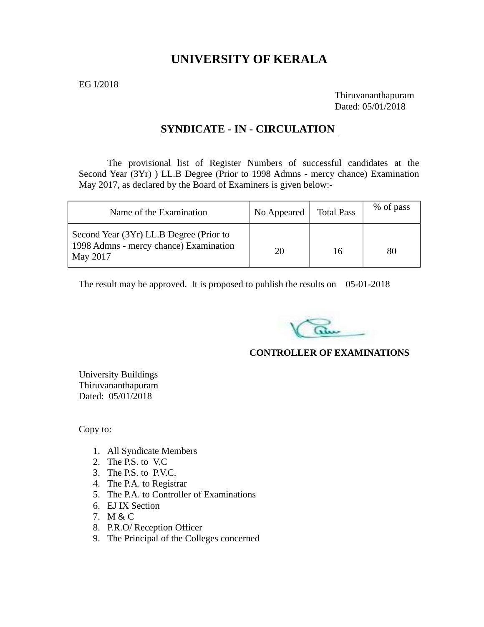# **UNIVERSITY OF KERALA**

EG I/2018

Thiruvananthapuram Dated: 05/01/2018

## **SYNDICATE - IN - CIRCULATION**

The provisional list of Register Numbers of successful candidates at the Second Year (3Yr) ) LL.B Degree (Prior to 1998 Admns - mercy chance) Examination May 2017, as declared by the Board of Examiners is given below:-

| Name of the Examination                                                                       | No Appeared | <b>Total Pass</b> | % of pass |
|-----------------------------------------------------------------------------------------------|-------------|-------------------|-----------|
| Second Year (3Yr) LL.B Degree (Prior to<br>1998 Admns - mercy chance) Examination<br>May 2017 | 20          | 16                | 80        |

The result may be approved. It is proposed to publish the results on 05-01-2018

## **CONTROLLER OF EXAMINATIONS**

University Buildings Thiruvananthapuram Dated: 05/01/2018

Copy to:

- 1. All Syndicate Members
- 2. The P.S. to V.C
- 3. The P.S. to P.V.C.
- 4. The P.A. to Registrar
- 5. The P.A. to Controller of Examinations
- 6. EJ IX Section
- 7. M & C
- 8. P.R.O/ Reception Officer
- 9. The Principal of the Colleges concerned